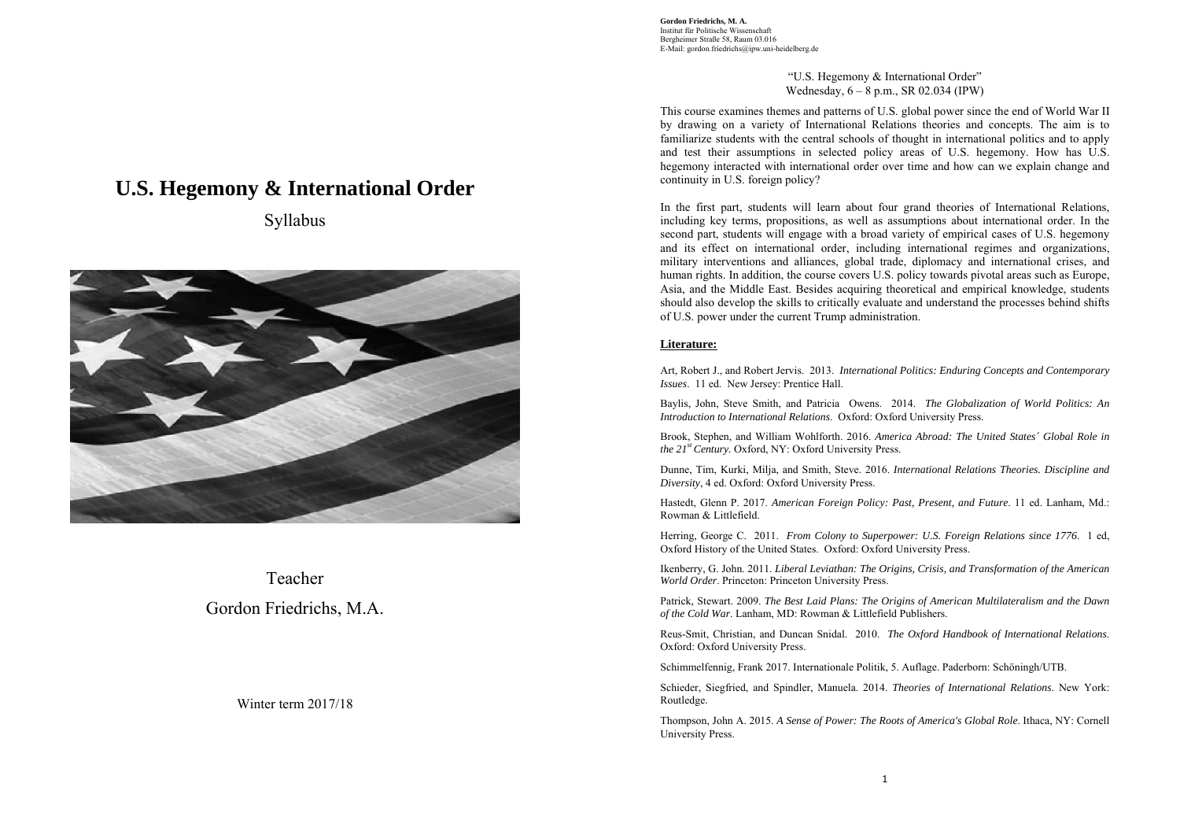> "U.S. Hegemony & International Order" Wednesday, 6 – 8 p.m., SR 02.034 (IPW)

This course examines themes and patterns of U.S. global power since the end of World War II by drawing on a variety of International Relations theories and concepts. The aim is to familiarize students with the central schools of thought in international politics and to apply and test their assumptions in selected policy areas of U.S. hegemony. How has U.S. hegemony interacted with international order over time and how can we explain change and continuity in U.S. foreign policy?

In the first part, students will learn about four grand theories of International Relations, including key terms, propositions, as well as assumptions about international order. In the second part, students will engage with a broad variety of empirical cases of U.S. hegemony and its effect on international order, including international regimes and organizations, military interventions and alliances, global trade, diplomacy and international crises, and human rights. In addition, the course covers U.S. policy towards pivotal areas such as Europe, Asia, and the Middle East. Besides acquiring theoretical and empirical knowledge, students should also develop the skills to critically evaluate and understand the processes behind shifts of U.S. power under the current Trump administration.

# **Literature:**

Art, Robert J., and Robert Jervis. 2013. *International Politics: Enduring Concepts and Contemporary Issues*. 11 ed. New Jersey: Prentice Hall.

Baylis, John, Steve Smith, and Patricia Owens. 2014. *The Globalization of World Politics: An Introduction to International Relations*. Oxford: Oxford University Press.

Brook, Stephen, and William Wohlforth. 2016. *America Abroad: The United States´ Global Role in the 21st Century.* Oxford, NY: Oxford University Press.

Dunne, Tim, Kurki, Milja, and Smith, Steve. 2016. *International Relations Theories. Discipline and Diversity*, 4 ed. Oxford: Oxford University Press.

Hastedt, Glenn P. 2017. *American Foreign Policy: Past, Present, and Future*. 11 ed. Lanham, Md.: Rowman & Littlefield.

Herring, George C. 2011. *From Colony to Superpower: U.S. Foreign Relations since 1776*. 1 ed, Oxford History of the United States. Oxford: Oxford University Press.

Ikenberry, G. John. 2011. *Liberal Leviathan: The Origins, Crisis, and Transformation of the American World Order*. Princeton: Princeton University Press.

Patrick, Stewart. 2009. *The Best Laid Plans: The Origins of American Multilateralism and the Dawn of the Cold War*. Lanham, MD: Rowman & Littlefield Publishers.

Reus-Smit, Christian, and Duncan Snidal. 2010. *The Oxford Handbook of International Relations*. Oxford: Oxford University Press.

Schimmelfennig, Frank 2017. Internationale Politik, 5. Auflage. Paderborn: Schöningh/UTB.

Schieder, Siegfried, and Spindler, Manuela. 2014. *Theories of International Relations*. New York: Routledge.

Thompson, John A. 2015. *A Sense of Power: The Roots of America's Global Role*. Ithaca, NY: Cornell University Press.

# **U.S. Hegemony & International Order**

Syllabus



Teacher Gordon Friedrichs, M.A.

# Winter term 2017/18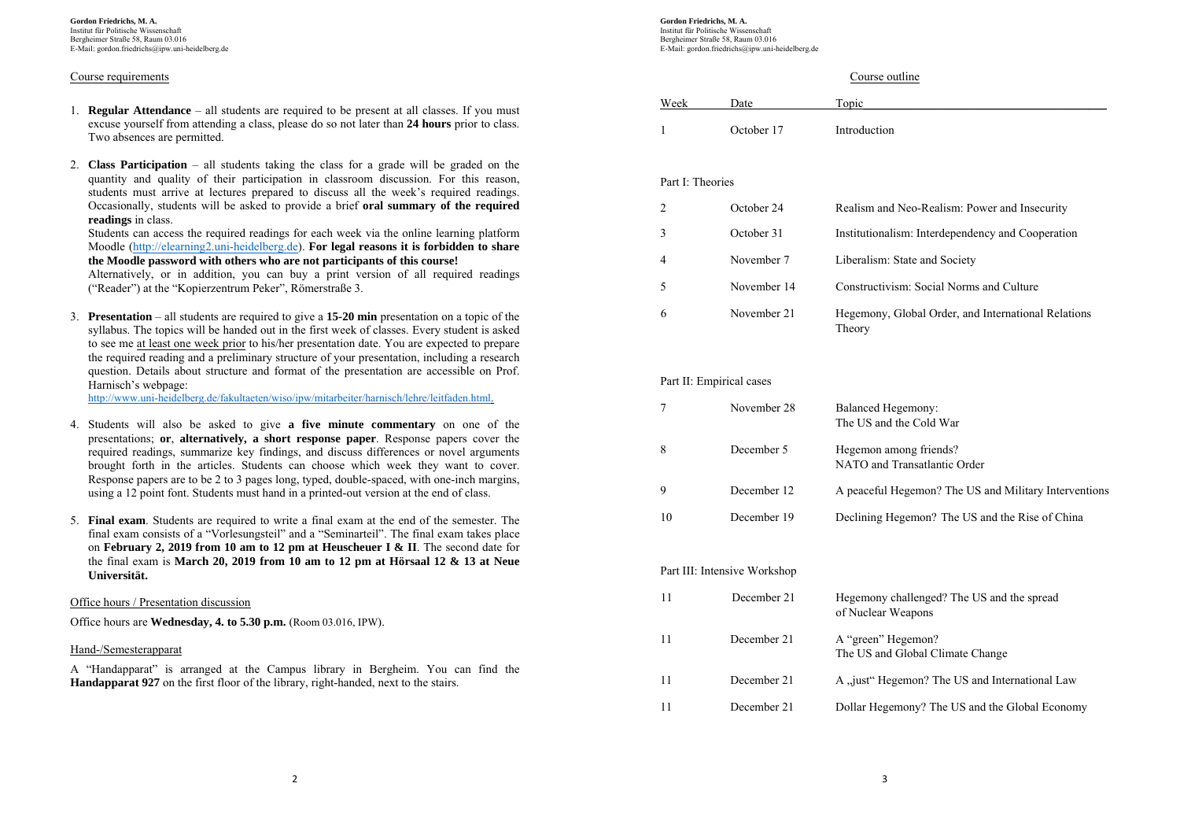# Course requirements

- 1. **Regular Attendance** all students are required to be present at all classes. If you must excuse yourself from attending a class, please do so not later than **24 hours** prior to class. Two absences are permitted.
- 2. **Class Participation** all students taking the class for a grade will be graded on the quantity and quality of their participation in classroom discussion. For this reason, students must arrive at lectures prepared to discuss all the week's required readings. Occasionally, students will be asked to provide a brief **oral summary of the required readings** in class.

Students can access the required readings for each week via the online learning platform Moodle (http://elearning2.uni-heidelberg.de). **For legal reasons it is forbidden to share the Moodle password with others who are not participants of this course!**

Alternatively, or in addition, you can buy a print version of all required readings ("Reader") at the "Kopierzentrum Peker", Römerstraße 3.

3. **Presentation** – all students are required to give a **15-20 min** presentation on a topic of the syllabus. The topics will be handed out in the first week of classes. Every student is asked to see me at least one week prior to his/her presentation date. You are expected to prepare the required reading and a preliminary structure of your presentation, including a research question. Details about structure and format of the presentation are accessible on Prof. Harnisch's webpage:

http://www.uni-heidelberg.de/fakultaeten/wiso/ipw/mitarbeiter/harnisch/lehre/leitfaden.html.

- 4. Students will also be asked to give **a five minute commentary** on one of the presentations; **or**, **alternatively, a short response paper**. Response papers cover the required readings, summarize key findings, and discuss differences or novel arguments brought forth in the articles. Students can choose which week they want to cover. Response papers are to be 2 to 3 pages long, typed, double-spaced, with one-inch margins, using a 12 point font. Students must hand in a printed-out version at the end of class.
- 5. **Final exam**. Students are required to write a final exam at the end of the semester. The final exam consists of a "Vorlesungsteil" and a "Seminarteil". The final exam takes place on **February 2, 2019 from 10 am to 12 pm at Heuscheuer I & II**. The second date for the final exam is **March 20, 2019 from 10 am to 12 pm at Hörsaal 12 & 13 at Neue Universität.**

Office hours / Presentation discussion

Office hours are **Wednesday, 4. to 5.30 p.m.** (Room 03.016, IPW).

# Hand-/Semesterapparat

A "Handapparat" is arranged at the Campus library in Bergheim. You can find the **Handapparat 927** on the first floor of the library, right-handed, next to the stairs.

**Gordon Friedrichs, M. A.**  Institut für Politische Wissenschaft Bergheimer Straße 58, Raum 03.016 E-Mail: gordon.friedrichs@ipw.uni-heidelberg.de

# Course outline

| Week | Date       | Topic        |
|------|------------|--------------|
|      | October 17 | Introduction |

# Part I: Theories

| October 24  | Realism and Neo-Realism: Power and Insecurity                 |
|-------------|---------------------------------------------------------------|
| October 31  | Institutionalism: Interdependency and Cooperation             |
| November 7  | Liberalism: State and Society                                 |
| November 14 | Constructivism: Social Norms and Culture                      |
| November 21 | Hegemony, Global Order, and International Relations<br>Theory |

# Part II: Empirical cases

|    | November 28                  | Balanced Hegemony:<br>The US and the Cold War                    |
|----|------------------------------|------------------------------------------------------------------|
| 8  | December 5                   | Hegemon among friends?<br>NATO and Transatlantic Order           |
| 9  | December 12                  | A peaceful Hegemon? The US and Military Interventions            |
| 10 | December 19                  | Declining Hegemon? The US and the Rise of China                  |
|    |                              |                                                                  |
|    | Part III: Intensive Workshop |                                                                  |
| 11 | December 21                  | Hegemony challenged? The US and the spread<br>of Nuclear Weapons |
| 11 | December 21                  | A "green" Hegemon?                                               |

| -11 | December 21 | A view Hegemon? The US and International Law   |
|-----|-------------|------------------------------------------------|
| -11 | December 21 | Dollar Hegemony? The US and the Global Economy |

The US and Global Climate Change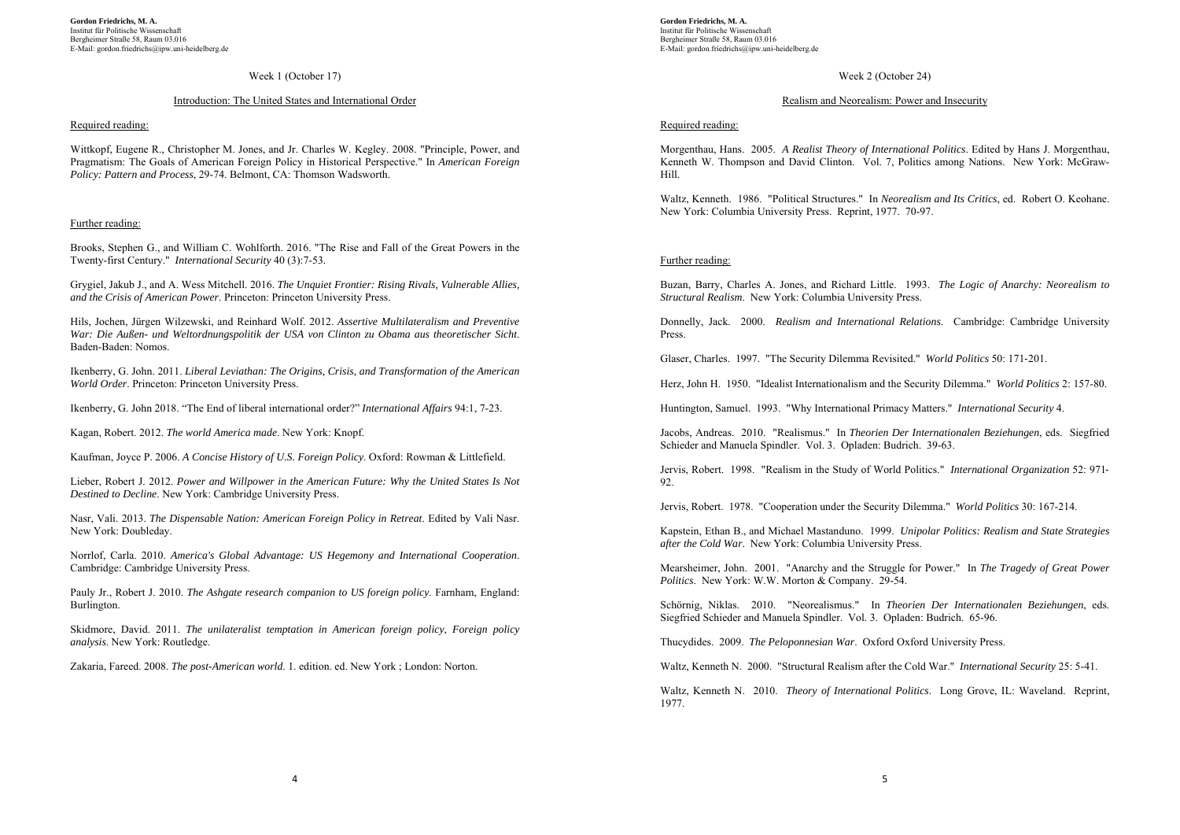#### Week 1 (October 17)

## Introduction: The United States and International Order

#### Required reading:

Wittkopf, Eugene R., Christopher M. Jones, and Jr. Charles W. Kegley. 2008. "Principle, Power, and Pragmatism: The Goals of American Foreign Policy in Historical Perspective." In *American Foreign Policy: Pattern and Process*, 29-74. Belmont, CA: Thomson Wadsworth.

## Further reading:

Brooks, Stephen G., and William C. Wohlforth. 2016. "The Rise and Fall of the Great Powers in the Twenty-first Century." *International Security* 40 (3):7-53.

Grygiel, Jakub J., and A. Wess Mitchell. 2016. *The Unquiet Frontier: Rising Rivals, Vulnerable Allies, and the Crisis of American Power*. Princeton: Princeton University Press.

Hils, Jochen, Jürgen Wilzewski, and Reinhard Wolf. 2012. *Assertive Multilateralism and Preventive War: Die Außen- und Weltordnungspolitik der USA von Clinton zu Obama aus theoretischer Sicht*. Baden-Baden: Nomos.

Ikenberry, G. John. 2011. *Liberal Leviathan: The Origins, Crisis, and Transformation of the American World Order*. Princeton: Princeton University Press.

Ikenberry, G. John 2018. "The End of liberal international order?" *International Affairs* 94:1, 7-23.

Kagan, Robert. 2012. *The world America made*. New York: Knopf.

Kaufman, Joyce P. 2006. *A Concise History of U.S. Foreign Policy*. Oxford: Rowman & Littlefield.

Lieber, Robert J. 2012. *Power and Willpower in the American Future: Why the United States Is Not Destined to Decline*. New York: Cambridge University Press.

Nasr, Vali. 2013. *The Dispensable Nation: American Foreign Policy in Retreat*. Edited by Vali Nasr. New York: Doubleday.

Norrlof, Carla. 2010. *America's Global Advantage: US Hegemony and International Cooperation*. Cambridge: Cambridge University Press.

Pauly Jr., Robert J. 2010. *The Ashgate research companion to US foreign policy*. Farnham, England: Burlington.

Skidmore, David. 2011. *The unilateralist temptation in American foreign policy*, *Foreign policy analysis*. New York: Routledge.

Zakaria, Fareed. 2008. *The post-American world*. 1. edition. ed. New York ; London: Norton.

**Gordon Friedrichs, M. A.**  Institut für Politische Wissenschaft Bergheimer Straße 58, Raum 03.016 E-Mail: gordon.friedrichs@ipw.uni-heidelberg.de

# Week 2 (October 24)

# Realism and Neorealism: Power and Insecurity

# Required reading:

Morgenthau, Hans. 2005. *A Realist Theory of International Politics*. Edited by Hans J. Morgenthau, Kenneth W. Thompson and David Clinton. Vol. 7, Politics among Nations. New York: McGraw-Hill.

Waltz, Kenneth. 1986. "Political Structures." In *Neorealism and Its Critics*, ed. Robert O. Keohane. New York: Columbia University Press. Reprint, 1977. 70-97.

# Further reading:

Buzan, Barry, Charles A. Jones, and Richard Little. 1993. *The Logic of Anarchy: Neorealism to Structural Realism*. New York: Columbia University Press.

Donnelly, Jack. 2000. *Realism and International Relations*. Cambridge: Cambridge University Press.

Glaser, Charles. 1997. "The Security Dilemma Revisited." *World Politics* 50: 171‐201.

Herz, John H. 1950. "Idealist Internationalism and the Security Dilemma." *World Politics* 2: 157-80.

Huntington, Samuel. 1993. "Why International Primacy Matters." *International Security* 4.

Jacobs, Andreas. 2010. "Realismus." In *Theorien Der Internationalen Beziehungen*, eds. Siegfried Schieder and Manuela Spindler. Vol. 3. Opladen: Budrich. 39-63.

Jervis, Robert. 1998. "Realism in the Study of World Politics." *International Organization* 52: 971‐ 92

Jervis, Robert. 1978. "Cooperation under the Security Dilemma." *World Politics* 30: 167-214.

Kapstein, Ethan B., and Michael Mastanduno. 1999. *Unipolar Politics: Realism and State Strategies after the Cold War*. New York: Columbia University Press.

Mearsheimer, John. 2001. "Anarchy and the Struggle for Power." In *The Tragedy of Great Power Politics*. New York: W.W. Morton & Company. 29-54.

Schörnig, Niklas. 2010. "Neorealismus." In *Theorien Der Internationalen Beziehungen*, eds. Siegfried Schieder and Manuela Spindler. Vol. 3. Opladen: Budrich. 65-96.

Thucydides. 2009. *The Peloponnesian War*. Oxford Oxford University Press.

Waltz, Kenneth N. 2000. "Structural Realism after the Cold War." *International Security* 25: 5-41.

Waltz, Kenneth N. 2010. *Theory of International Politics*. Long Grove, IL: Waveland. Reprint, 1977.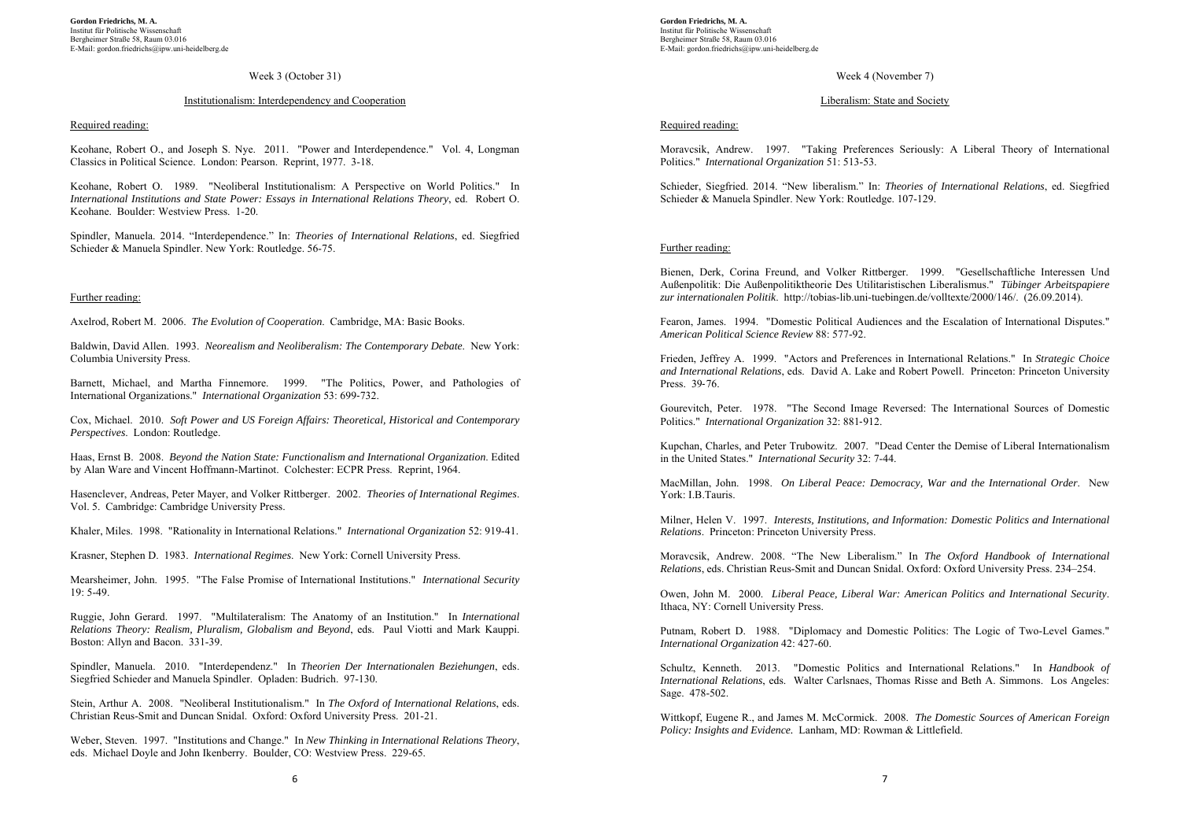#### Week 3 (October 31)

#### Institutionalism: Interdependency and Cooperation

#### Required reading:

Keohane, Robert O., and Joseph S. Nye. 2011. "Power and Interdependence." Vol. 4, Longman Classics in Political Science. London: Pearson. Reprint, 1977. 3-18.

Keohane, Robert O. 1989. "Neoliberal Institutionalism: A Perspective on World Politics." In *International Institutions and State Power: Essays in International Relations Theory*, ed. Robert O. Keohane. Boulder: Westview Press. 1-20.

Spindler, Manuela. 2014. "Interdependence." In: *Theories of International Relations*, ed. Siegfried Schieder & Manuela Spindler. New York: Routledge. 56-75.

# Further reading:

Axelrod, Robert M. 2006. *The Evolution of Cooperation*. Cambridge, MA: Basic Books.

Baldwin, David Allen. 1993. *Neorealism and Neoliberalism: The Contemporary Debate*. New York: Columbia University Press.

Barnett, Michael, and Martha Finnemore. 1999. "The Politics, Power, and Pathologies of International Organizations." *International Organization* 53: 699‐732.

Cox, Michael. 2010. *Soft Power and US Foreign Affairs: Theoretical, Historical and Contemporary Perspectives*. London: Routledge.

Haas, Ernst B. 2008. *Beyond the Nation State: Functionalism and International Organization*. Edited by Alan Ware and Vincent Hoffmann-Martinot. Colchester: ECPR Press. Reprint, 1964.

Hasenclever, Andreas, Peter Mayer, and Volker Rittberger. 2002. *Theories of International Regimes*. Vol. 5. Cambridge: Cambridge University Press.

Khaler, Miles. 1998. "Rationality in International Relations." *International Organization* 52: 919-41.

Krasner, Stephen D. 1983. *International Regimes*. New York: Cornell University Press.

Mearsheimer, John. 1995. "The False Promise of International Institutions." *International Security*  $19.5 - 49$ 

Ruggie, John Gerard. 1997. "Multilateralism: The Anatomy of an Institution." In *International Relations Theory: Realism, Pluralism, Globalism and Beyond*, eds. Paul Viotti and Mark Kauppi. Boston: Allyn and Bacon. 331-39.

Spindler, Manuela. 2010. "Interdependenz." In *Theorien Der Internationalen Beziehungen*, eds. Siegfried Schieder and Manuela Spindler. Opladen: Budrich. 97-130.

Stein, Arthur A. 2008. "Neoliberal Institutionalism." In *The Oxford of International Relations*, eds. Christian Reus-Smit and Duncan Snidal. Oxford: Oxford University Press. 201-21.

Weber, Steven. 1997. "Institutions and Change." In *New Thinking in International Relations Theory*, eds. Michael Doyle and John Ikenberry. Boulder, CO: Westview Press. 229-65.

**Gordon Friedrichs, M. A.**  Institut für Politische Wissenschaft Bergheimer Straße 58, Raum 03.016 E-Mail: gordon.friedrichs@ipw.uni-heidelberg.de

# Week 4 (November 7)

#### Liberalism: State and Society

#### Required reading:

Moravcsik, Andrew. 1997. "Taking Preferences Seriously: A Liberal Theory of International Politics." *International Organization* 51: 513-53.

Schieder, Siegfried. 2014. "New liberalism." In: *Theories of International Relations*, ed. Siegfried Schieder & Manuela Spindler. New York: Routledge. 107-129.

## Further reading:

Bienen, Derk, Corina Freund, and Volker Rittberger. 1999. "Gesellschaftliche Interessen Und Außenpolitik: Die Außenpolitiktheorie Des Utilitaristischen Liberalismus." *Tübinger Arbeitspapiere zur internationalen Politik*. http://tobias-lib.uni-tuebingen.de/volltexte/2000/146/. (26.09.2014).

Fearon, James. 1994. "Domestic Political Audiences and the Escalation of International Disputes." *American Political Science Review* 88: 577-92.

Frieden, Jeffrey A. 1999. "Actors and Preferences in International Relations." In *Strategic Choice and International Relations*, eds. David A. Lake and Robert Powell. Princeton: Princeton University Press. 39‐76.

Gourevitch, Peter. 1978. "The Second Image Reversed: The International Sources of Domestic Politics." *International Organization* 32: 881‐912.

Kupchan, Charles, and Peter Trubowitz. 2007. "Dead Center the Demise of Liberal Internationalism in the United States." *International Security* 32: 7-44.

MacMillan, John. 1998. *On Liberal Peace: Democracy, War and the International Order*. New York: I.B.Tauris.

Milner, Helen V. 1997. *Interests, Institutions, and Information: Domestic Politics and International Relations*. Princeton: Princeton University Press.

Moravcsik, Andrew. 2008. "The New Liberalism." In *The Oxford Handbook of International Relations*, eds. Christian Reus-Smit and Duncan Snidal. Oxford: Oxford University Press. 234–254.

Owen, John M. 2000. *Liberal Peace, Liberal War: American Politics and International Security*. Ithaca, NY: Cornell University Press.

Putnam, Robert D. 1988. "Diplomacy and Domestic Politics: The Logic of Two-Level Games." *International Organization* 42: 427-60.

Schultz, Kenneth. 2013. "Domestic Politics and International Relations." In *Handbook of International Relations*, eds. Walter Carlsnaes, Thomas Risse and Beth A. Simmons. Los Angeles: Sage. 478-502.

Wittkopf, Eugene R., and James M. McCormick. 2008. *The Domestic Sources of American Foreign Policy: Insights and Evidence.* Lanham, MD: Rowman & Littlefield.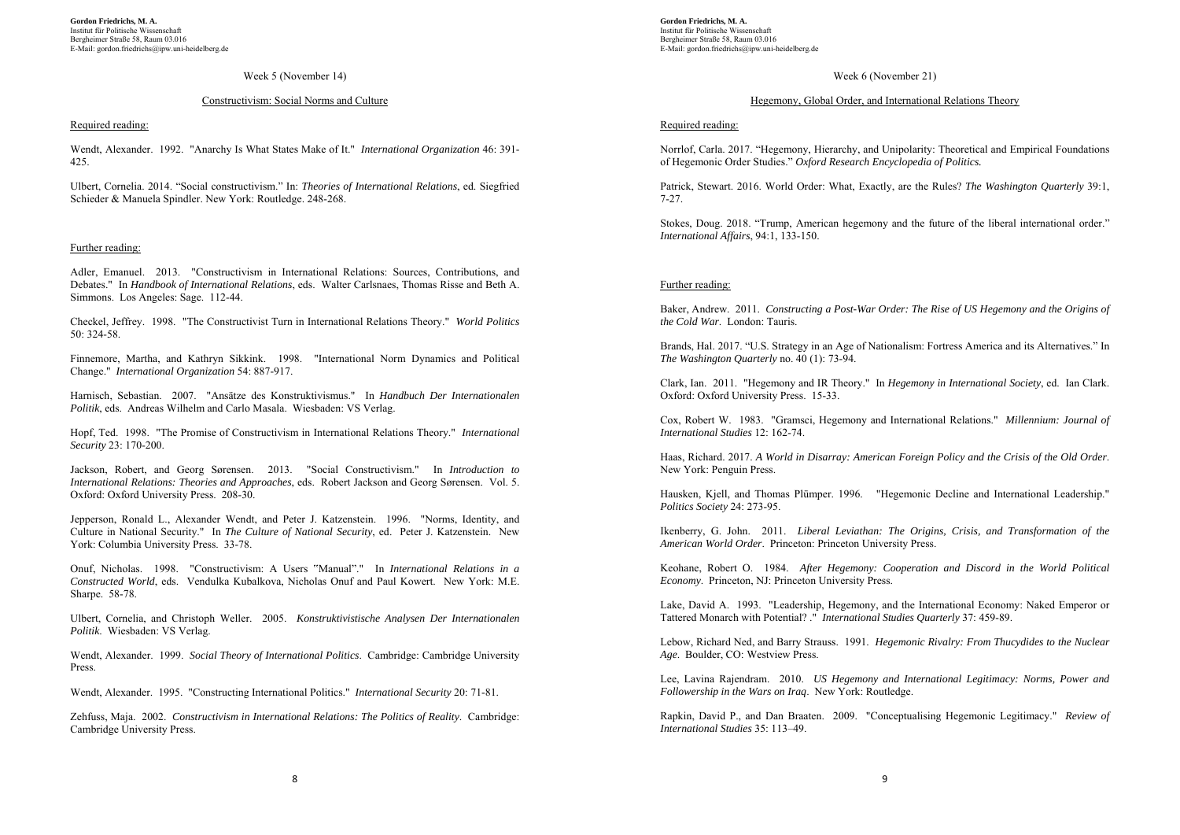#### Week 5 (November 14)

## Constructivism: Social Norms and Culture

#### Required reading:

Wendt, Alexander. 1992. "Anarchy Is What States Make of It." *International Organization* 46: 391- 425.

Ulbert, Cornelia. 2014. "Social constructivism." In: *Theories of International Relations*, ed. Siegfried Schieder & Manuela Spindler. New York: Routledge. 248-268.

## Further reading:

Adler, Emanuel. 2013. "Constructivism in International Relations: Sources, Contributions, and Debates." In *Handbook of International Relations*, eds. Walter Carlsnaes, Thomas Risse and Beth A. Simmons. Los Angeles: Sage. 112-44.

Checkel, Jeffrey. 1998. "The Constructivist Turn in International Relations Theory." *World Politics* 50: 324-58.

Finnemore, Martha, and Kathryn Sikkink. 1998. "International Norm Dynamics and Political Change." *International Organization* 54: 887-917.

Harnisch, Sebastian. 2007. "Ansätze des Konstruktivismus." In *Handbuch Der Internationalen Politik*, eds. Andreas Wilhelm and Carlo Masala. Wiesbaden: VS Verlag.

Hopf, Ted. 1998. "The Promise of Constructivism in International Relations Theory." *International Security* 23: 170-200.

Jackson, Robert, and Georg Sørensen. 2013. "Social Constructivism." In *Introduction to International Relations: Theories and Approaches*, eds. Robert Jackson and Georg Sørensen. Vol. 5. Oxford: Oxford University Press. 208-30.

Jepperson, Ronald L., Alexander Wendt, and Peter J. Katzenstein. 1996. "Norms, Identity, and Culture in National Security." In *The Culture of National Security*, ed. Peter J. Katzenstein. New York: Columbia University Press. 33-78.

Onuf, Nicholas. 1998. "Constructivism: A Users "Manual"." In *International Relations in a Constructed World*, eds. Vendulka Kubalkova, Nicholas Onuf and Paul Kowert. New York: M.E. Sharpe. 58-78.

Ulbert, Cornelia, and Christoph Weller. 2005. *Konstruktivistische Analysen Der Internationalen Politik*. Wiesbaden: VS Verlag.

Wendt, Alexander. 1999. *Social Theory of International Politics*. Cambridge: Cambridge University Press.

Wendt, Alexander. 1995. "Constructing International Politics." *International Security* 20: 71-81.

Zehfuss, Maja. 2002. *Constructivism in International Relations: The Politics of Reality*. Cambridge: Cambridge University Press.

**Gordon Friedrichs, M. A.**  Institut für Politische Wissenschaft Bergheimer Straße 58, Raum 03.016 E-Mail: gordon.friedrichs@ipw.uni-heidelberg.de

# Week 6 (November 21)

# Hegemony, Global Order, and International Relations Theory

## Required reading:

Norrlof, Carla. 2017. "Hegemony, Hierarchy, and Unipolarity: Theoretical and Empirical Foundations of Hegemonic Order Studies." *Oxford Research Encyclopedia of Politics.*

Patrick, Stewart. 2016. World Order: What, Exactly, are the Rules? *The Washington Quarterly* 39:1, 7-27.

Stokes, Doug. 2018. "Trump, American hegemony and the future of the liberal international order." *International Affairs*, 94:1, 133-150.

#### Further reading:

Baker, Andrew. 2011. *Constructing a Post-War Order: The Rise of US Hegemony and the Origins of the Cold War*. London: Tauris.

Brands, Hal. 2017. "U.S. Strategy in an Age of Nationalism: Fortress America and its Alternatives." In *The Washington Quarterly* no. 40 (1): 73-94.

Clark, Ian. 2011. "Hegemony and IR Theory." In *Hegemony in International Society*, ed. Ian Clark. Oxford: Oxford University Press. 15-33.

Cox, Robert W. 1983. "Gramsci, Hegemony and International Relations." *Millennium: Journal of International Studies* 12: 162-74.

Haas, Richard. 2017. *A World in Disarray: American Foreign Policy and the Crisis of the Old Order*. New York: Penguin Press.

Hausken, Kjell, and Thomas Plümper. 1996. "Hegemonic Decline and International Leadership." *Politics Society* 24: 273-95.

Ikenberry, G. John. 2011. *Liberal Leviathan: The Origins, Crisis, and Transformation of the American World Order*. Princeton: Princeton University Press.

Keohane, Robert O. 1984. *After Hegemony: Cooperation and Discord in the World Political Economy*. Princeton, NJ: Princeton University Press.

Lake, David A. 1993. "Leadership, Hegemony, and the International Economy: Naked Emperor or Tattered Monarch with Potential? ." *International Studies Quarterly* 37: 459-89.

Lebow, Richard Ned, and Barry Strauss. 1991. *Hegemonic Rivalry: From Thucydides to the Nuclear Age*. Boulder, CO: Westview Press.

Lee, Lavina Rajendram. 2010. *US Hegemony and International Legitimacy: Norms, Power and Followership in the Wars on Iraq*. New York: Routledge.

Rapkin, David P., and Dan Braaten. 2009. "Conceptualising Hegemonic Legitimacy." *Review of International Studies* 35: 113–49.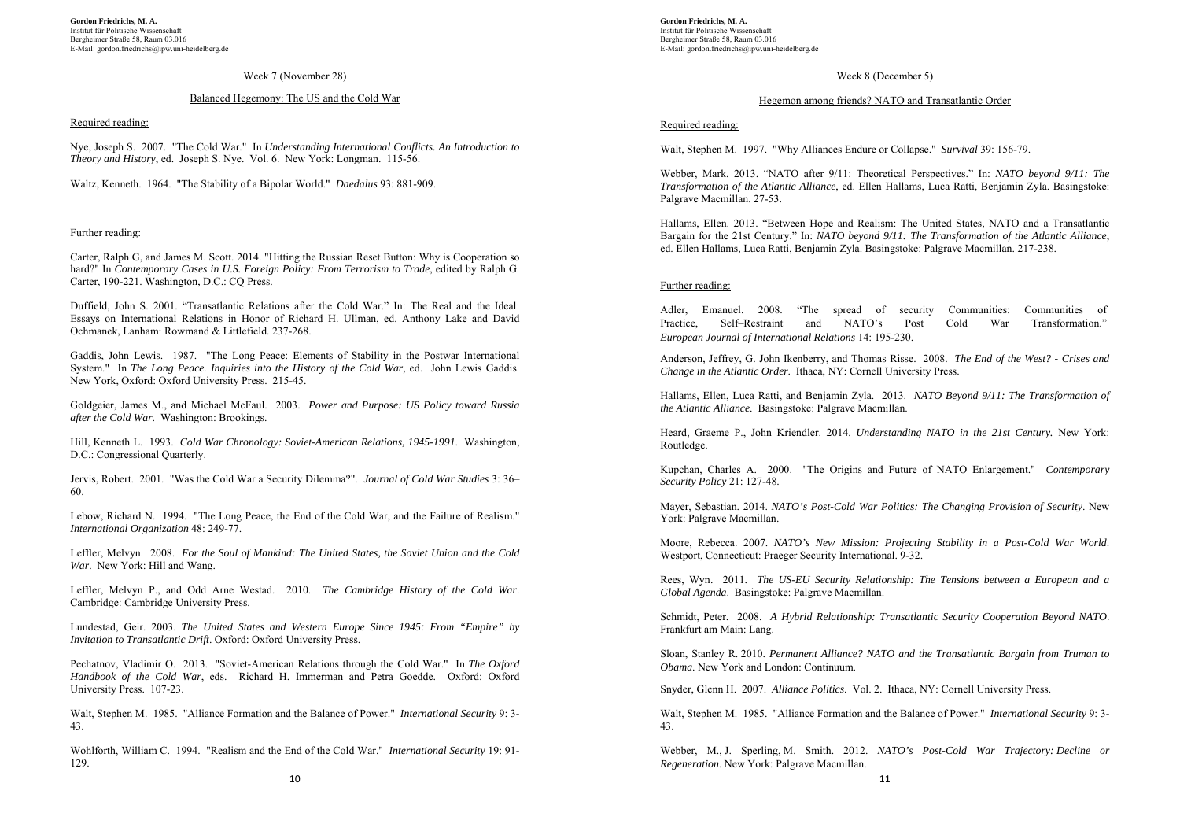#### Week 7 (November 28)

# Balanced Hegemony: The US and the Cold War

#### Required reading:

Nye, Joseph S. 2007. "The Cold War." In *Understanding International Conflicts. An Introduction to Theory and History*, ed. Joseph S. Nye. Vol. 6. New York: Longman. 115-56.

Waltz, Kenneth. 1964. "The Stability of a Bipolar World." *Daedalus* 93: 881-909.

## Further reading:

Carter, Ralph G, and James M. Scott. 2014. "Hitting the Russian Reset Button: Why is Cooperation so hard?" In *Contemporary Cases in U.S. Foreign Policy: From Terrorism to Trade*, edited by Ralph G. Carter, 190-221. Washington, D.C.: CQ Press.

Duffield, John S. 2001. "Transatlantic Relations after the Cold War." In: The Real and the Ideal: Essays on International Relations in Honor of Richard H. Ullman, ed. Anthony Lake and David Ochmanek, Lanham: Rowmand & Littlefield. 237-268.

Gaddis, John Lewis. 1987. "The Long Peace: Elements of Stability in the Postwar International System." In *The Long Peace. Inquiries into the History of the Cold War*, ed. John Lewis Gaddis. New York, Oxford: Oxford University Press. 215-45.

Goldgeier, James M., and Michael McFaul. 2003. *Power and Purpose: US Policy toward Russia after the Cold War*. Washington: Brookings.

Hill, Kenneth L. 1993. *Cold War Chronology: Soviet-American Relations, 1945-1991*. Washington, D.C.: Congressional Quarterly.

Jervis, Robert. 2001. "Was the Cold War a Security Dilemma?". *Journal of Cold War Studies* 3: 36– 60.

Lebow, Richard N. 1994. "The Long Peace, the End of the Cold War, and the Failure of Realism." *International Organization* 48: 249-77.

Leffler, Melvyn. 2008. *For the Soul of Mankind: The United States, the Soviet Union and the Cold War*. New York: Hill and Wang.

Leffler, Melvyn P., and Odd Arne Westad. 2010. *The Cambridge History of the Cold War*. Cambridge: Cambridge University Press.

Lundestad, Geir. 2003. *The United States and Western Europe Since 1945: From "Empire" by Invitation to Transatlantic Drift*. Oxford: Oxford University Press.

Pechatnov, Vladimir O. 2013. "Soviet-American Relations through the Cold War." In *The Oxford Handbook of the Cold War*, eds. Richard H. Immerman and Petra Goedde. Oxford: Oxford University Press. 107-23.

Walt, Stephen M. 1985. "Alliance Formation and the Balance of Power." *International Security* 9: 3- 43.

Wohlforth, William C. 1994. "Realism and the End of the Cold War." *International Security* 19: 91- 129.

**Gordon Friedrichs, M. A.**  Institut für Politische Wissenschaft Bergheimer Straße 58, Raum 03.016 E-Mail: gordon.friedrichs@ipw.uni-heidelberg.de

# Week 8 (December 5)

# Hegemon among friends? NATO and Transatlantic Order

# Required reading:

Walt, Stephen M. 1997. "Why Alliances Endure or Collapse." *Survival* 39: 156-79.

Webber, Mark. 2013. "NATO after 9/11: Theoretical Perspectives." In: *NATO beyond 9/11: The Transformation of the Atlantic Alliance*, ed. Ellen Hallams, Luca Ratti, Benjamin Zyla. Basingstoke: Palgrave Macmillan. 27-53.

Hallams, Ellen. 2013. "Between Hope and Realism: The United States, NATO and a Transatlantic Bargain for the 21st Century." In: *NATO beyond 9/11: The Transformation of the Atlantic Alliance*, ed. Ellen Hallams, Luca Ratti, Benjamin Zyla. Basingstoke: Palgrave Macmillan. 217-238.

#### Further reading:

Adler, Emanuel. 2008. "The spread of security Communities: Communities of Practice, Self–Restraint and NATO's Post Cold War Transformation." *European Journal of International Relations* 14: 195-230.

Anderson, Jeffrey, G. John Ikenberry, and Thomas Risse. 2008. *The End of the West? - Crises and Change in the Atlantic Order*. Ithaca, NY: Cornell University Press.

Hallams, Ellen, Luca Ratti, and Benjamin Zyla. 2013. *NATO Beyond 9/11: The Transformation of the Atlantic Alliance*. Basingstoke: Palgrave Macmillan.

Heard, Graeme P., John Kriendler. 2014. *Understanding NATO in the 21st Century.* New York: Routledge.

Kupchan, Charles A. 2000. "The Origins and Future of NATO Enlargement." *Contemporary Security Policy* 21: 127-48.

Mayer, Sebastian. 2014. *NATO's Post-Cold War Politics: The Changing Provision of Security*. New York: Palgrave Macmillan.

Moore, Rebecca. 2007. *NATO's New Mission: Projecting Stability in a Post-Cold War World*. Westport, Connecticut: Praeger Security International. 9-32.

Rees, Wyn. 2011. *The US-EU Security Relationship: The Tensions between a European and a Global Agenda*. Basingstoke: Palgrave Macmillan.

Schmidt, Peter. 2008. *A Hybrid Relationship: Transatlantic Security Cooperation Beyond NATO*. Frankfurt am Main: Lang.

Sloan, Stanley R. 2010. *Permanent Alliance? NATO and the Transatlantic Bargain from Truman to Obama*. New York and London: Continuum.

Snyder, Glenn H. 2007. *Alliance Politics*. Vol. 2. Ithaca, NY: Cornell University Press.

Walt, Stephen M. 1985. "Alliance Formation and the Balance of Power." *International Security* 9: 3- 43.

Webber, M., J. Sperling, M. Smith. 2012. *NATO's Post-Cold War Trajectory: Decline or Regeneration*. New York: Palgrave Macmillan.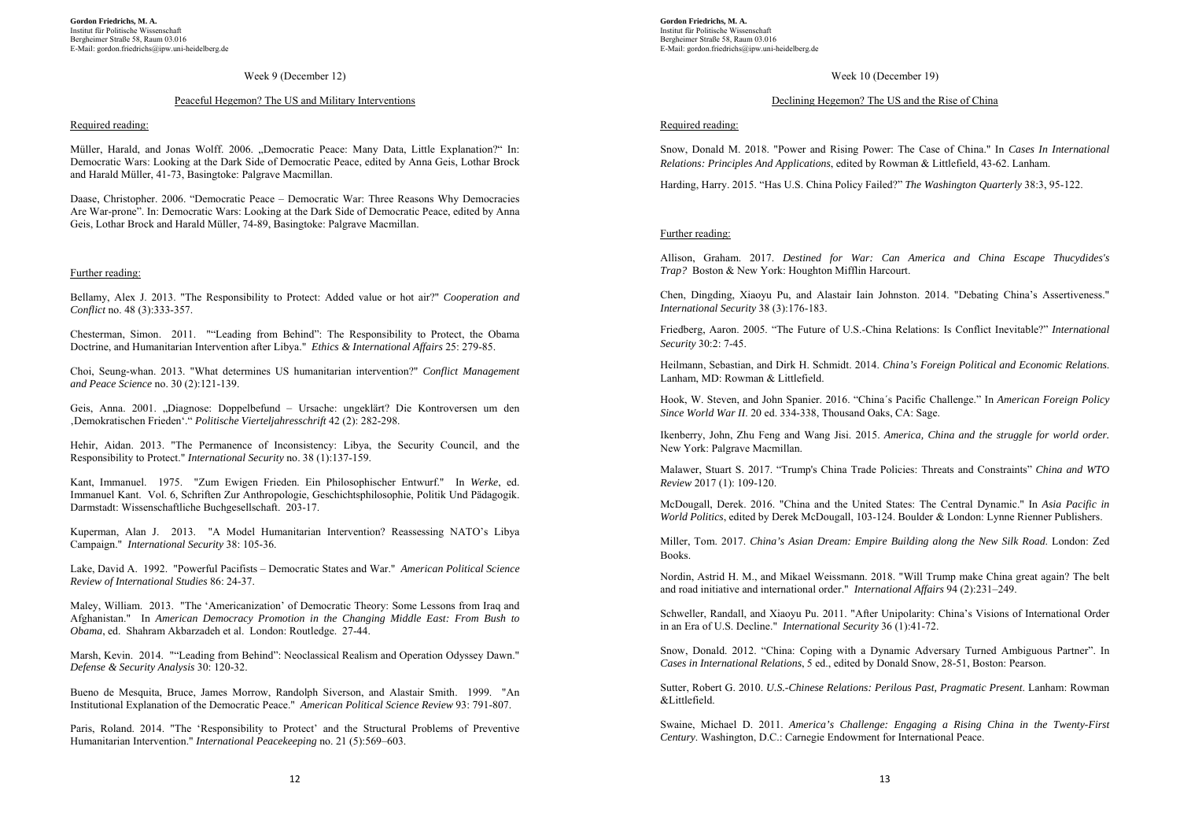#### Week 9 (December 12)

## Peaceful Hegemon? The US and Military Interventions

#### Required reading:

Müller, Harald, and Jonas Wolff. 2006. "Democratic Peace: Many Data, Little Explanation?" In: Democratic Wars: Looking at the Dark Side of Democratic Peace, edited by Anna Geis, Lothar Brock and Harald Müller, 41-73, Basingtoke: Palgrave Macmillan.

Daase, Christopher. 2006. "Democratic Peace – Democratic War: Three Reasons Why Democracies Are War-prone". In: Democratic Wars: Looking at the Dark Side of Democratic Peace, edited by Anna Geis, Lothar Brock and Harald Müller, 74-89, Basingtoke: Palgrave Macmillan.

#### Further reading:

Bellamy, Alex J. 2013. "The Responsibility to Protect: Added value or hot air?" *Cooperation and Conflict* no. 48 (3):333-357.

Chesterman, Simon. 2011. ""Leading from Behind": The Responsibility to Protect, the Obama Doctrine, and Humanitarian Intervention after Libya." *Ethics & International Affairs* 25: 279-85.

Choi, Seung-whan. 2013. "What determines US humanitarian intervention?" *Conflict Management and Peace Science* no. 30 (2):121-139.

Geis, Anna. 2001. "Diagnose: Doppelbefund – Ursache: ungeklärt? Die Kontroversen um den 'Demokratischen Frieden'." *Politische Vierteljahresschrift* 42 (2): 282-298.

Hehir, Aidan. 2013. "The Permanence of Inconsistency: Libya, the Security Council, and the Responsibility to Protect." *International Security* no. 38 (1):137-159.

Kant, Immanuel. 1975. "Zum Ewigen Frieden. Ein Philosophischer Entwurf." In *Werke*, ed. Immanuel Kant. Vol. 6, Schriften Zur Anthropologie, Geschichtsphilosophie, Politik Und Pädagogik. Darmstadt: Wissenschaftliche Buchgesellschaft. 203-17.

Kuperman, Alan J. 2013. "A Model Humanitarian Intervention? Reassessing NATO's Libya Campaign." *International Security* 38: 105-36.

Lake, David A. 1992. "Powerful Pacifists – Democratic States and War." *American Political Science Review of International Studies* 86: 24-37.

Maley, William. 2013. "The 'Americanization' of Democratic Theory: Some Lessons from Iraq and Afghanistan." In *American Democracy Promotion in the Changing Middle East: From Bush to Obama*, ed. Shahram Akbarzadeh et al. London: Routledge. 27-44.

Marsh, Kevin. 2014. ""Leading from Behind": Neoclassical Realism and Operation Odyssey Dawn." *Defense & Security Analysis* 30: 120-32.

Bueno de Mesquita, Bruce, James Morrow, Randolph Siverson, and Alastair Smith. 1999. "An Institutional Explanation of the Democratic Peace." *American Political Science Review* 93: 791-807.

Paris, Roland. 2014. "The 'Responsibility to Protect' and the Structural Problems of Preventive Humanitarian Intervention." *International Peacekeeping* no. 21 (5):569–603.

**Gordon Friedrichs, M. A.**  Institut für Politische Wissenschaft Bergheimer Straße 58, Raum 03.016 E-Mail: gordon.friedrichs@ipw.uni-heidelberg.de

# Week 10 (December 19)

# Declining Hegemon? The US and the Rise of China

## Required reading:

Snow, Donald M. 2018. "Power and Rising Power: The Case of China." In *Cases In International Relations: Principles And Applications*, edited by Rowman & Littlefield, 43-62. Lanham.

Harding, Harry. 2015. "Has U.S. China Policy Failed?" *The Washington Quarterly* 38:3, 95-122.

## Further reading:

Allison, Graham. 2017. *Destined for War: Can America and China Escape Thucydides's Trap?* Boston & New York: Houghton Mifflin Harcourt.

Chen, Dingding, Xiaoyu Pu, and Alastair Iain Johnston. 2014. "Debating China's Assertiveness." *International Security* 38 (3):176-183.

Friedberg, Aaron. 2005. "The Future of U.S.-China Relations: Is Conflict Inevitable?" *International Security* 30:2: 7-45.

Heilmann, Sebastian, and Dirk H. Schmidt. 2014. *China's Foreign Political and Economic Relations*. Lanham, MD: Rowman & Littlefield.

Hook, W. Steven, and John Spanier. 2016. "China´s Pacific Challenge." In *American Foreign Policy Since World War II*. 20 ed. 334-338, Thousand Oaks, CA: Sage.

Ikenberry, John, Zhu Feng and Wang Jisi. 2015. *America, China and the struggle for world order.* New York: Palgrave Macmillan.

Malawer, Stuart S. 2017. "Trump's China Trade Policies: Threats and Constraints" *China and WTO Review* 2017 (1): 109-120.

McDougall, Derek. 2016. "China and the United States: The Central Dynamic." In *Asia Pacific in World Politics*, edited by Derek McDougall, 103-124. Boulder & London: Lynne Rienner Publishers.

Miller, Tom. 2017. *China's Asian Dream: Empire Building along the New Silk Road*. London: Zed Books.

Nordin, Astrid H. M., and Mikael Weissmann. 2018. "Will Trump make China great again? The belt and road initiative and international order." *International Affairs* 94 (2):231–249.

Schweller, Randall, and Xiaoyu Pu. 2011. "After Unipolarity: China's Visions of International Order in an Era of U.S. Decline." *International Security* 36 (1):41-72.

Snow, Donald. 2012. "China: Coping with a Dynamic Adversary Turned Ambiguous Partner". In *Cases in International Relations*, 5 ed., edited by Donald Snow, 28-51, Boston: Pearson.

Sutter, Robert G. 2010. *U.S.-Chinese Relations: Perilous Past, Pragmatic Present*. Lanham: Rowman &Littlefield.

Swaine, Michael D. 2011. *America's Challenge: Engaging a Rising China in the Twenty-First Century*. Washington, D.C.: Carnegie Endowment for International Peace.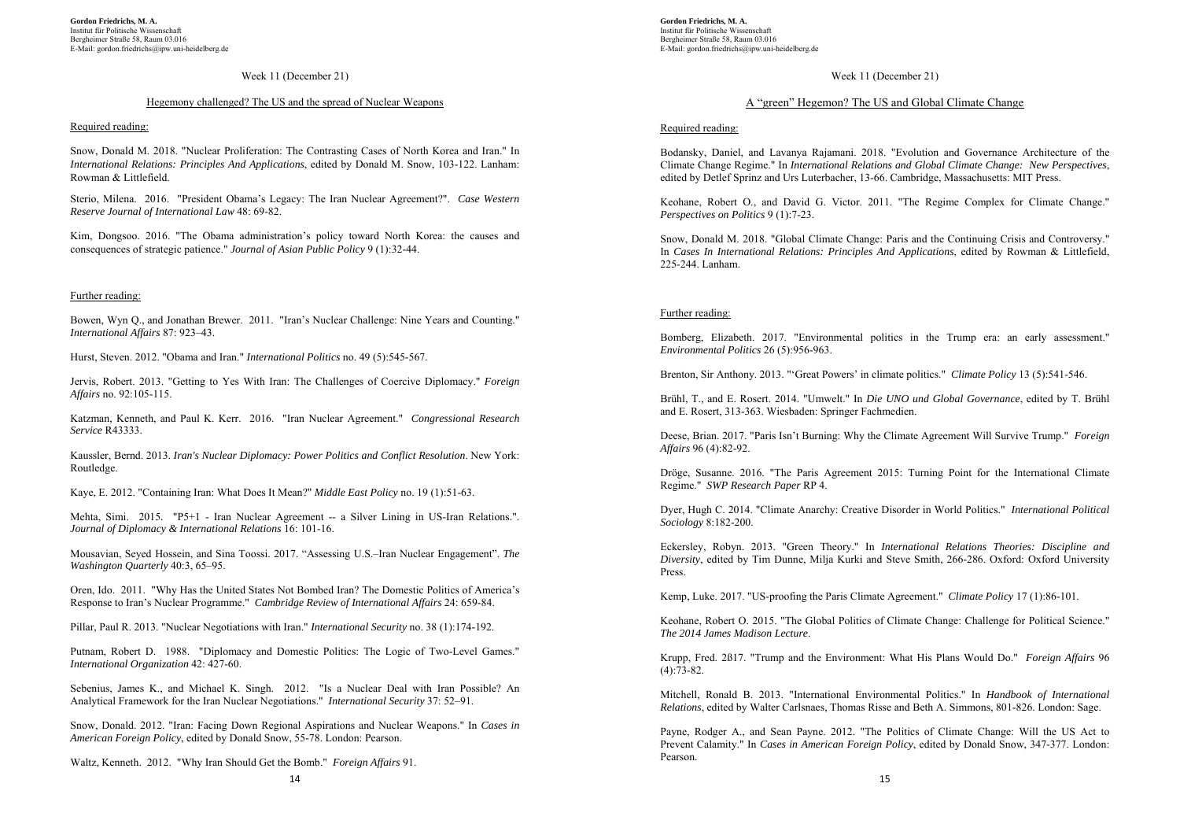## Week 11 (December 21)

# Hegemony challenged? The US and the spread of Nuclear Weapons

#### Required reading:

Snow, Donald M. 2018. "Nuclear Proliferation: The Contrasting Cases of North Korea and Iran." In *International Relations: Principles And Applications*, edited by Donald M. Snow, 103-122. Lanham: Rowman & Littlefield.

Sterio, Milena. 2016. "President Obama's Legacy: The Iran Nuclear Agreement?". *Case Western Reserve Journal of International Law* 48: 69-82.

Kim, Dongsoo. 2016. "The Obama administration's policy toward North Korea: the causes and consequences of strategic patience." *Journal of Asian Public Policy* 9 (1):32-44.

# Further reading:

Bowen, Wyn Q., and Jonathan Brewer. 2011. "Iran's Nuclear Challenge: Nine Years and Counting." *International Affairs* 87: 923–43.

Hurst, Steven. 2012. "Obama and Iran." *International Politics* no. 49 (5):545-567.

Jervis, Robert. 2013. "Getting to Yes With Iran: The Challenges of Coercive Diplomacy." *Foreign Affairs* no. 92:105-115.

Katzman, Kenneth, and Paul K. Kerr. 2016. "Iran Nuclear Agreement." *Congressional Research Service* R43333.

Kaussler, Bernd. 2013. *Iran's Nuclear Diplomacy: Power Politics and Conflict Resolution*. New York: Routledge.

Kaye, E. 2012. "Containing Iran: What Does It Mean?" *Middle East Policy* no. 19 (1):51-63.

Mehta, Simi. 2015. "P5+1 - Iran Nuclear Agreement -- a Silver Lining in US-Iran Relations.". *Journal of Diplomacy & International Relations* 16: 101-16.

Mousavian, Seyed Hossein, and Sina Toossi. 2017. "Assessing U.S.–Iran Nuclear Engagement". *The Washington Quarterly* 40:3, 65–95.

Oren, Ido. 2011. "Why Has the United States Not Bombed Iran? The Domestic Politics of America's Response to Iran's Nuclear Programme." *Cambridge Review of International Affairs* 24: 659-84.

Pillar, Paul R. 2013. "Nuclear Negotiations with Iran." *International Security* no. 38 (1):174-192.

Putnam, Robert D. 1988. "Diplomacy and Domestic Politics: The Logic of Two-Level Games." *International Organization* 42: 427-60.

Sebenius, James K., and Michael K. Singh. 2012. "Is a Nuclear Deal with Iran Possible? An Analytical Framework for the Iran Nuclear Negotiations." *International Security* 37: 52–91.

Snow, Donald. 2012. "Iran: Facing Down Regional Aspirations and Nuclear Weapons." In *Cases in American Foreign Policy*, edited by Donald Snow, 55-78. London: Pearson.

Waltz, Kenneth. 2012. "Why Iran Should Get the Bomb." *Foreign Affairs* 91.

**Gordon Friedrichs, M. A.**  Institut für Politische Wissenschaft Bergheimer Straße 58, Raum 03.016 E-Mail: gordon.friedrichs@ipw.uni-heidelberg.de

# Week 11 (December 21)

# A "green" Hegemon? The US and Global Climate Change

# Required reading:

Bodansky, Daniel, and Lavanya Rajamani. 2018. "Evolution and Governance Architecture of the Climate Change Regime." In *International Relations and Global Climate Change: New Perspectives*, edited by Detlef Sprinz and Urs Luterbacher, 13-66. Cambridge, Massachusetts: MIT Press.

Keohane, Robert O., and David G. Victor. 2011. "The Regime Complex for Climate Change." *Perspectives on Politics* 9 (1):7-23.

Snow, Donald M. 2018. "Global Climate Change: Paris and the Continuing Crisis and Controversy." In *Cases In International Relations: Principles And Applications*, edited by Rowman & Littlefield, 225-244. Lanham.

# Further reading:

Bomberg, Elizabeth. 2017. "Environmental politics in the Trump era: an early assessment." *Environmental Politics* 26 (5):956-963.

Brenton, Sir Anthony. 2013. "'Great Powers' in climate politics." *Climate Policy* 13 (5):541-546.

Brühl, T., and E. Rosert. 2014. "Umwelt." In *Die UNO und Global Governance*, edited by T. Brühl and E. Rosert, 313-363. Wiesbaden: Springer Fachmedien.

Deese, Brian. 2017. "Paris Isn't Burning: Why the Climate Agreement Will Survive Trump." *Foreign Affairs* 96 (4):82-92.

Dröge, Susanne. 2016. "The Paris Agreement 2015: Turning Point for the International Climate Regime." *SWP Research Paper* RP 4.

Dyer, Hugh C. 2014. "Climate Anarchy: Creative Disorder in World Politics." *International Political Sociology* 8:182-200.

Eckersley, Robyn. 2013. "Green Theory." In *International Relations Theories: Discipline and Diversity*, edited by Tim Dunne, Milja Kurki and Steve Smith, 266-286. Oxford: Oxford University Press.

Kemp, Luke. 2017. "US-proofing the Paris Climate Agreement." *Climate Policy* 17 (1):86-101.

Keohane, Robert O. 2015. "The Global Politics of Climate Change: Challenge for Political Science." *The 2014 James Madison Lecture*.

Krupp, Fred. 2ß17. "Trump and the Environment: What His Plans Would Do." *Foreign Affairs* 96  $(4):73-82.$ 

Mitchell, Ronald B. 2013. "International Environmental Politics." In *Handbook of International Relations*, edited by Walter Carlsnaes, Thomas Risse and Beth A. Simmons, 801-826. London: Sage.

Payne, Rodger A., and Sean Payne. 2012. "The Politics of Climate Change: Will the US Act to Prevent Calamity." In *Cases in American Foreign Policy*, edited by Donald Snow, 347-377. London: Pearson.